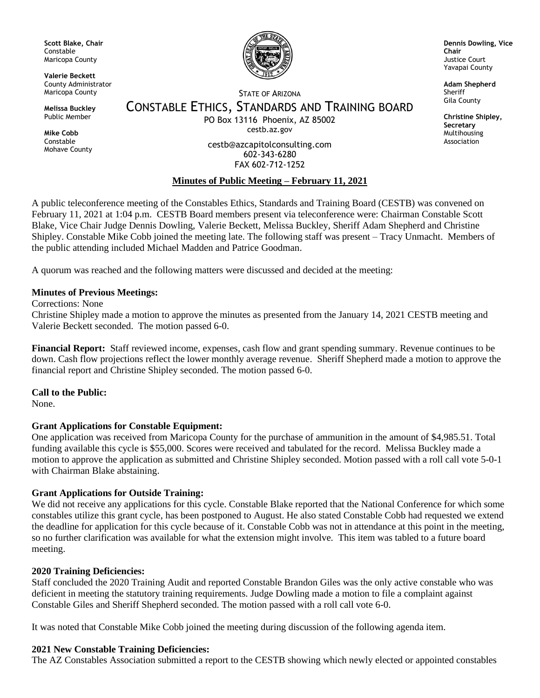**Scott Blake, Chair** Constable Maricopa County

**Valerie Beckett** County Administrator Maricopa County

**Melissa Buckley** Public Member

**Mike Cobb** Constable Mohave County



**Dennis Dowling, Vice Chair** Justice Court Yavapai County

STATE OF ARIZONA

CONSTABLE ETHICS, STANDARDS AND TRAINING BOARD

PO Box 13116 Phoenix, AZ 85002 cestb.az.gov

cestb@azcapitolconsulting.com 602-343-6280 FAX 602-712-1252

## **Minutes of Public Meeting – February 11, 2021**

A public teleconference meeting of the Constables Ethics, Standards and Training Board (CESTB) was convened on February 11, 2021 at 1:04 p.m. CESTB Board members present via teleconference were: Chairman Constable Scott Blake, Vice Chair Judge Dennis Dowling, Valerie Beckett, Melissa Buckley, Sheriff Adam Shepherd and Christine Shipley. Constable Mike Cobb joined the meeting late. The following staff was present – Tracy Unmacht. Members of the public attending included Michael Madden and Patrice Goodman.

A quorum was reached and the following matters were discussed and decided at the meeting:

## **Minutes of Previous Meetings:**

Corrections: None

Christine Shipley made a motion to approve the minutes as presented from the January 14, 2021 CESTB meeting and Valerie Beckett seconded. The motion passed 6-0.

**Financial Report:** Staff reviewed income, expenses, cash flow and grant spending summary. Revenue continues to be down. Cash flow projections reflect the lower monthly average revenue. Sheriff Shepherd made a motion to approve the financial report and Christine Shipley seconded. The motion passed 6-0.

**Call to the Public:** None.

## **Grant Applications for Constable Equipment:**

One application was received from Maricopa County for the purchase of ammunition in the amount of \$4,985.51. Total funding available this cycle is \$55,000. Scores were received and tabulated for the record. Melissa Buckley made a motion to approve the application as submitted and Christine Shipley seconded. Motion passed with a roll call vote 5-0-1 with Chairman Blake abstaining.

# **Grant Applications for Outside Training:**

We did not receive any applications for this cycle. Constable Blake reported that the National Conference for which some constables utilize this grant cycle, has been postponed to August. He also stated Constable Cobb had requested we extend the deadline for application for this cycle because of it. Constable Cobb was not in attendance at this point in the meeting, so no further clarification was available for what the extension might involve. This item was tabled to a future board meeting.

# **2020 Training Deficiencies:**

Staff concluded the 2020 Training Audit and reported Constable Brandon Giles was the only active constable who was deficient in meeting the statutory training requirements. Judge Dowling made a motion to file a complaint against Constable Giles and Sheriff Shepherd seconded. The motion passed with a roll call vote 6-0.

It was noted that Constable Mike Cobb joined the meeting during discussion of the following agenda item.

# **2021 New Constable Training Deficiencies:**

The AZ Constables Association submitted a report to the CESTB showing which newly elected or appointed constables

Sheriff Gila County **Christine Shipley, Secretary** Multihousing

Association

**Adam Shepherd**